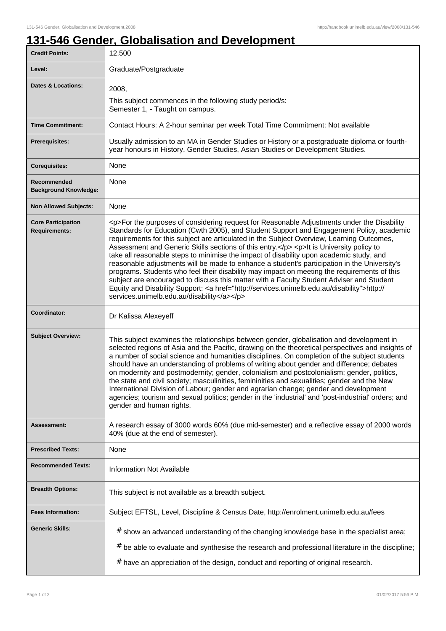1

## **131-546 Gender, Globalisation and Development**

| <b>Credit Points:</b>                             | 12.500                                                                                                                                                                                                                                                                                                                                                                                                                                                                                                                                                                                                                                                                                                                                                                                                                                                                                                                       |
|---------------------------------------------------|------------------------------------------------------------------------------------------------------------------------------------------------------------------------------------------------------------------------------------------------------------------------------------------------------------------------------------------------------------------------------------------------------------------------------------------------------------------------------------------------------------------------------------------------------------------------------------------------------------------------------------------------------------------------------------------------------------------------------------------------------------------------------------------------------------------------------------------------------------------------------------------------------------------------------|
| Level:                                            | Graduate/Postgraduate                                                                                                                                                                                                                                                                                                                                                                                                                                                                                                                                                                                                                                                                                                                                                                                                                                                                                                        |
| <b>Dates &amp; Locations:</b>                     | 2008,                                                                                                                                                                                                                                                                                                                                                                                                                                                                                                                                                                                                                                                                                                                                                                                                                                                                                                                        |
|                                                   | This subject commences in the following study period/s:<br>Semester 1, - Taught on campus.                                                                                                                                                                                                                                                                                                                                                                                                                                                                                                                                                                                                                                                                                                                                                                                                                                   |
| <b>Time Commitment:</b>                           | Contact Hours: A 2-hour seminar per week Total Time Commitment: Not available                                                                                                                                                                                                                                                                                                                                                                                                                                                                                                                                                                                                                                                                                                                                                                                                                                                |
| <b>Prerequisites:</b>                             | Usually admission to an MA in Gender Studies or History or a postgraduate diploma or fourth-<br>year honours in History, Gender Studies, Asian Studies or Development Studies.                                                                                                                                                                                                                                                                                                                                                                                                                                                                                                                                                                                                                                                                                                                                               |
| <b>Corequisites:</b>                              | None                                                                                                                                                                                                                                                                                                                                                                                                                                                                                                                                                                                                                                                                                                                                                                                                                                                                                                                         |
| Recommended<br><b>Background Knowledge:</b>       | None                                                                                                                                                                                                                                                                                                                                                                                                                                                                                                                                                                                                                                                                                                                                                                                                                                                                                                                         |
| <b>Non Allowed Subjects:</b>                      | None                                                                                                                                                                                                                                                                                                                                                                                                                                                                                                                                                                                                                                                                                                                                                                                                                                                                                                                         |
| <b>Core Participation</b><br><b>Requirements:</b> | <p>For the purposes of considering request for Reasonable Adjustments under the Disability<br/>Standards for Education (Cwth 2005), and Student Support and Engagement Policy, academic<br/>requirements for this subject are articulated in the Subject Overview, Learning Outcomes,<br/>Assessment and Generic Skills sections of this entry.</p> <p>lt is University policy to<br/>take all reasonable steps to minimise the impact of disability upon academic study, and<br/>reasonable adjustments will be made to enhance a student's participation in the University's<br/>programs. Students who feel their disability may impact on meeting the requirements of this<br/>subject are encouraged to discuss this matter with a Faculty Student Adviser and Student<br/>Equity and Disability Support: &lt; a href="http://services.unimelb.edu.au/disability"&gt;http://<br/>services.unimelb.edu.au/disability</p> |
| Coordinator:                                      | Dr Kalissa Alexeyeff                                                                                                                                                                                                                                                                                                                                                                                                                                                                                                                                                                                                                                                                                                                                                                                                                                                                                                         |
| <b>Subject Overview:</b>                          | This subject examines the relationships between gender, globalisation and development in<br>selected regions of Asia and the Pacific, drawing on the theoretical perspectives and insights of<br>a number of social science and humanities disciplines. On completion of the subject students<br>should have an understanding of problems of writing about gender and difference; debates<br>on modernity and postmodernity; gender, colonialism and postcolonialism; gender, politics,<br>the state and civil society; masculinities, femininities and sexualities; gender and the New<br>International Division of Labour; gender and agrarian change; gender and development<br>agencies; tourism and sexual politics; gender in the 'industrial' and 'post-industrial' orders; and<br>gender and human rights.                                                                                                           |
| Assessment:                                       | A research essay of 3000 words 60% (due mid-semester) and a reflective essay of 2000 words<br>40% (due at the end of semester).                                                                                                                                                                                                                                                                                                                                                                                                                                                                                                                                                                                                                                                                                                                                                                                              |
| <b>Prescribed Texts:</b>                          | None                                                                                                                                                                                                                                                                                                                                                                                                                                                                                                                                                                                                                                                                                                                                                                                                                                                                                                                         |
| <b>Recommended Texts:</b>                         | <b>Information Not Available</b>                                                                                                                                                                                                                                                                                                                                                                                                                                                                                                                                                                                                                                                                                                                                                                                                                                                                                             |
| <b>Breadth Options:</b>                           | This subject is not available as a breadth subject.                                                                                                                                                                                                                                                                                                                                                                                                                                                                                                                                                                                                                                                                                                                                                                                                                                                                          |
| <b>Fees Information:</b>                          | Subject EFTSL, Level, Discipline & Census Date, http://enrolment.unimelb.edu.au/fees                                                                                                                                                                                                                                                                                                                                                                                                                                                                                                                                                                                                                                                                                                                                                                                                                                         |
| <b>Generic Skills:</b>                            | # show an advanced understanding of the changing knowledge base in the specialist area;<br>$#$ be able to evaluate and synthesise the research and professional literature in the discipline;<br># have an appreciation of the design, conduct and reporting of original research.                                                                                                                                                                                                                                                                                                                                                                                                                                                                                                                                                                                                                                           |